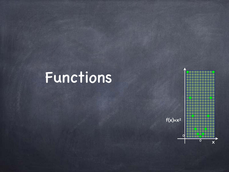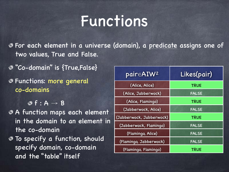For each element in a universe (domain), a predicate assigns one of two values, True and False.

"Co-domain" is {True,False}

Functions: more general co-domains

 $\Theta$  f : A  $\rightarrow$  B

- A function maps each element in the domain to an element in the co-domain
- To specify a function, should specify domain, co-domain and the "table" itself

| pairEAIW <sup>2</sup>    | Likes(pair)  |
|--------------------------|--------------|
| (Alice, Alice)           | <b>TRUE</b>  |
| (Alice, Jabberwock)      | <b>FALSE</b> |
| (Alice, Flamingo)        | <b>TRUE</b>  |
| (Jabberwock, Alice)      | <b>FALSE</b> |
| (Jabberwock, Jabberwock) | <b>TRUE</b>  |
| (Jabberwock, Flamingo)   | <b>FALSE</b> |
| (Flamingo, Alice)        | <b>FALSE</b> |
| (Flamingo, Jabberwock)   | <b>FALSE</b> |
| (Flamingo, Flamingo)     | <b>TRUE</b>  |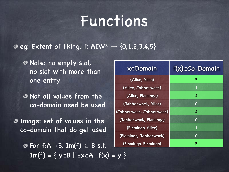$e$  eg: Extent of liking, f: AIW<sup>2</sup>  $\rightarrow$  {0,1,2,3,4,5}

Note: no empty slot, no slot with more than one entry

Not all values from the co-domain need be used

Image: set of values in the co-domain that do get used

> $\odot$  For f:A→B, Im(f)  $\subseteq$  B s.t.  $Im(f) = \{ y \in B \mid \exists x \in A \; f(x) = y \}$

| x∈Domain                 | $f(x) \in Co-Domain$ |
|--------------------------|----------------------|
| (Alice, Alice)           | 5                    |
| (Alice, Jabberwock)      | 1                    |
| (Alice, Flamingo)        | 4                    |
| (Jabberwock, Alice)      | 0                    |
| (Jabberwock, Jabberwock) | 4                    |
| (Jabberwock, Flamingo)   | 0                    |
| (Flamingo, Alice)        | 1                    |
| (Flamingo, Jabberwock)   | 0                    |
| (Flamingo, Flamingo)     | 5                    |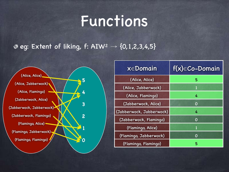$e$  eg: Extent of liking, f: AIW<sup>2</sup>  $\rightarrow$  {0,1,2,3,4,5}



| $x \in$ Domain           | $f(x) \in Co-Domain$ |
|--------------------------|----------------------|
| (Alice, Alice)           | 5                    |
| (Alice, Jabberwock)      | 1                    |
| (Alice, Flamingo)        | 4                    |
| (Jabberwock, Alice)      | 0                    |
| (Jabberwock, Jabberwock) | 4                    |
| (Jabberwock, Flamingo)   | 0                    |
| (Flamingo, Alice)        | 1                    |
| (Flamingo, Jabberwock)   | O                    |
| (Flamingo, Flamingo)     | 5                    |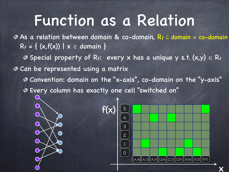## Function as a Relation

As a relation between domain & co-domain, R<sup>f</sup> ⊆ domain × co-domain  $R_f = \{ (x, f(x)) | x \in domain \}$ 

Special property of Rf: every x has a unique y s.t.  $(x,y) \in R_f$ Can be represented using a matrix Convention: domain on the "x-axis", co-domain on the "y-axis" Every column has exactly one cell "switched on"

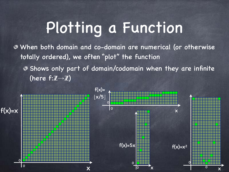# Plotting a Function

When both domain and co-domain are numerical (or otherwise totally ordered), we often "plot" the function

Shows only part of domain/codomain when they are infinite (here  $f:\mathbb{Z}{\rightarrow}\mathbb{Z}$ )

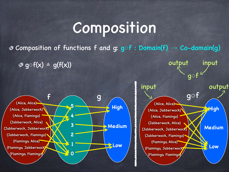#### Composition

 $\bullet$  Composition of functions f and g: g $\circ$ f : Domain(f) → Co-domain(g)

 $\circ \circ \circ f(x) = g(f(x))$ 





output input